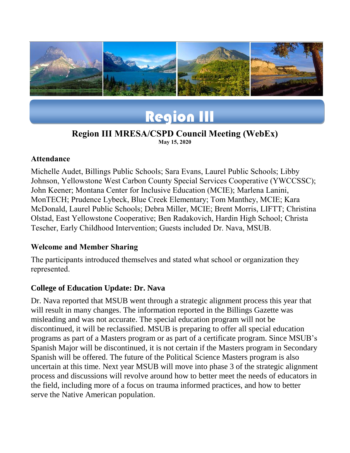



#### **Region III MRESA/CSPD Council Meeting (WebEx) May 15, 2020**

### **Attendance**

Michelle Audet, Billings Public Schools; Sara Evans, Laurel Public Schools; Libby Johnson, Yellowstone West Carbon County Special Services Cooperative (YWCCSSC); John Keener; Montana Center for Inclusive Education (MCIE); Marlena Lanini, MonTECH; Prudence Lybeck, Blue Creek Elementary; Tom Manthey, MCIE; Kara McDonald, Laurel Public Schools; Debra Miller, MCIE; Brent Morris, LIFTT; Christina Olstad, East Yellowstone Cooperative; Ben Radakovich, Hardin High School; Christa Tescher, Early Childhood Intervention; Guests included Dr. Nava, MSUB.

### **Welcome and Member Sharing**

The participants introduced themselves and stated what school or organization they represented.

## **College of Education Update: Dr. Nava**

Dr. Nava reported that MSUB went through a strategic alignment process this year that will result in many changes. The information reported in the Billings Gazette was misleading and was not accurate. The special education program will not be discontinued, it will be reclassified. MSUB is preparing to offer all special education programs as part of a Masters program or as part of a certificate program. Since MSUB's Spanish Major will be discontinued, it is not certain if the Masters program in Secondary Spanish will be offered. The future of the Political Science Masters program is also uncertain at this time. Next year MSUB will move into phase 3 of the strategic alignment process and discussions will revolve around how to better meet the needs of educators in the field, including more of a focus on trauma informed practices, and how to better serve the Native American population.